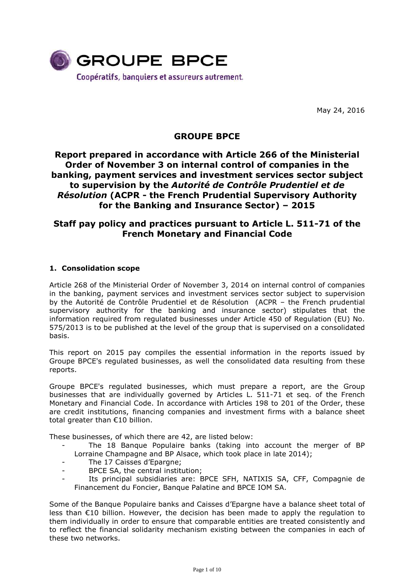

May 24, 2016

# **GROUPE BPCE**

# **Report prepared in accordance with Article 266 of the Ministerial Order of November 3 on internal control of companies in the banking, payment services and investment services sector subject to supervision by the** *Autorité de Contrôle Prudentiel et de Résolution* **(ACPR - the French Prudential Supervisory Authority for the Banking and Insurance Sector) – 2015**

# **Staff pay policy and practices pursuant to Article L. 511-71 of the French Monetary and Financial Code**

## **1. Consolidation scope**

Article 268 of the Ministerial Order of November 3, 2014 on internal control of companies in the banking, payment services and investment services sector subject to supervision by the Autorité de Contrôle Prudentiel et de Résolution (ACPR – the French prudential supervisory authority for the banking and insurance sector) stipulates that the information required from regulated businesses under Article 450 of Regulation (EU) No. 575/2013 is to be published at the level of the group that is supervised on a consolidated basis.

This report on 2015 pay compiles the essential information in the reports issued by Groupe BPCE's regulated businesses, as well the consolidated data resulting from these reports.

Groupe BPCE's regulated businesses, which must prepare a report, are the Group businesses that are individually governed by Articles L. 511-71 et seq. of the French Monetary and Financial Code. In accordance with Articles 198 to 201 of the Order, these are credit institutions, financing companies and investment firms with a balance sheet total greater than €10 billion.

These businesses, of which there are 42, are listed below:

- The 18 Banque Populaire banks (taking into account the merger of BP Lorraine Champagne and BP Alsace, which took place in late 2014);
- The 17 Caisses d'Epargne:
- BPCE SA, the central institution;
- Its principal subsidiaries are: BPCE SFH, NATIXIS SA, CFF, Compagnie de Financement du Foncier, Banque Palatine and BPCE IOM SA.

Some of the Banque Populaire banks and Caisses d'Epargne have a balance sheet total of less than €10 billion. However, the decision has been made to apply the regulation to them individually in order to ensure that comparable entities are treated consistently and to reflect the financial solidarity mechanism existing between the companies in each of these two networks.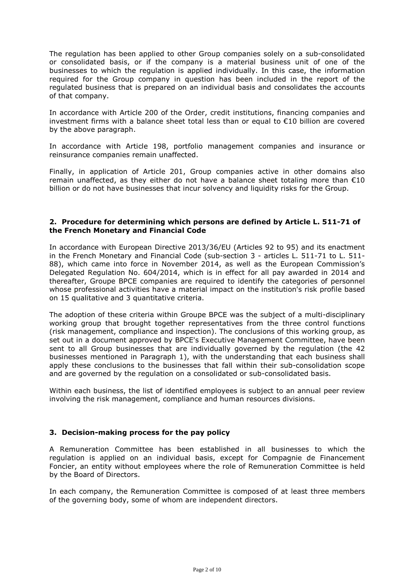The regulation has been applied to other Group companies solely on a sub-consolidated or consolidated basis, or if the company is a material business unit of one of the businesses to which the regulation is applied individually. In this case, the information required for the Group company in question has been included in the report of the regulated business that is prepared on an individual basis and consolidates the accounts of that company.

In accordance with Article 200 of the Order, credit institutions, financing companies and investment firms with a balance sheet total less than or equal to €10 billion are covered by the above paragraph.

In accordance with Article 198, portfolio management companies and insurance or reinsurance companies remain unaffected.

Finally, in application of Article 201, Group companies active in other domains also remain unaffected, as they either do not have a balance sheet totaling more than  $\epsilon$ 10 billion or do not have businesses that incur solvency and liquidity risks for the Group.

### **2. Procedure for determining which persons are defined by Article L. 511-71 of the French Monetary and Financial Code**

In accordance with European Directive 2013/36/EU (Articles 92 to 95) and its enactment in the French Monetary and Financial Code (sub-section 3 - articles L. 511-71 to L. 511- 88), which came into force in November 2014, as well as the European Commission's Delegated Regulation No. 604/2014, which is in effect for all pay awarded in 2014 and thereafter, Groupe BPCE companies are required to identify the categories of personnel whose professional activities have a material impact on the institution's risk profile based on 15 qualitative and 3 quantitative criteria.

The adoption of these criteria within Groupe BPCE was the subject of a multi-disciplinary working group that brought together representatives from the three control functions (risk management, compliance and inspection). The conclusions of this working group, as set out in a document approved by BPCE's Executive Management Committee, have been sent to all Group businesses that are individually governed by the regulation (the 42 businesses mentioned in Paragraph 1), with the understanding that each business shall apply these conclusions to the businesses that fall within their sub-consolidation scope and are governed by the regulation on a consolidated or sub-consolidated basis.

Within each business, the list of identified employees is subject to an annual peer review involving the risk management, compliance and human resources divisions.

### **3. Decision-making process for the pay policy**

A Remuneration Committee has been established in all businesses to which the regulation is applied on an individual basis, except for Compagnie de Financement Foncier, an entity without employees where the role of Remuneration Committee is held by the Board of Directors.

In each company, the Remuneration Committee is composed of at least three members of the governing body, some of whom are independent directors.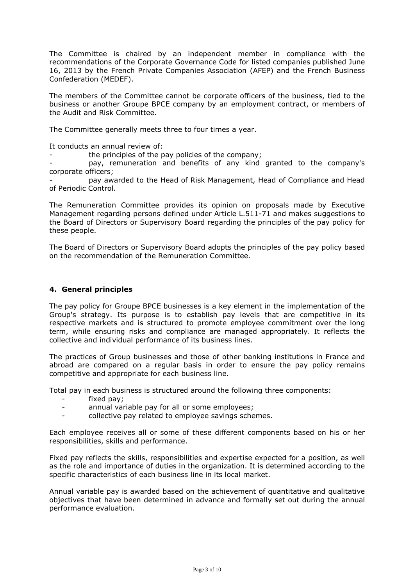The Committee is chaired by an independent member in compliance with the recommendations of the Corporate Governance Code for listed companies published June 16, 2013 by the French Private Companies Association (AFEP) and the French Business Confederation (MEDEF).

The members of the Committee cannot be corporate officers of the business, tied to the business or another Groupe BPCE company by an employment contract, or members of the Audit and Risk Committee.

The Committee generally meets three to four times a year.

It conducts an annual review of:

the principles of the pay policies of the company;

pay, remuneration and benefits of any kind granted to the company's corporate officers;

- pay awarded to the Head of Risk Management, Head of Compliance and Head of Periodic Control.

The Remuneration Committee provides its opinion on proposals made by Executive Management regarding persons defined under Article L.511-71 and makes suggestions to the Board of Directors or Supervisory Board regarding the principles of the pay policy for these people.

The Board of Directors or Supervisory Board adopts the principles of the pay policy based on the recommendation of the Remuneration Committee.

## **4. General principles**

The pay policy for Groupe BPCE businesses is a key element in the implementation of the Group's strategy. Its purpose is to establish pay levels that are competitive in its respective markets and is structured to promote employee commitment over the long term, while ensuring risks and compliance are managed appropriately. It reflects the collective and individual performance of its business lines.

The practices of Group businesses and those of other banking institutions in France and abroad are compared on a regular basis in order to ensure the pay policy remains competitive and appropriate for each business line.

Total pay in each business is structured around the following three components:

- fixed pay;
- annual variable pay for all or some employees;
- collective pay related to employee savings schemes.

Each employee receives all or some of these different components based on his or her responsibilities, skills and performance.

Fixed pay reflects the skills, responsibilities and expertise expected for a position, as well as the role and importance of duties in the organization. It is determined according to the specific characteristics of each business line in its local market.

Annual variable pay is awarded based on the achievement of quantitative and qualitative objectives that have been determined in advance and formally set out during the annual performance evaluation.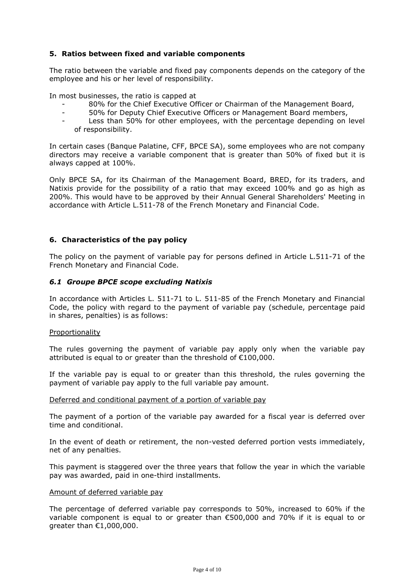## **5. Ratios between fixed and variable components**

The ratio between the variable and fixed pay components depends on the category of the employee and his or her level of responsibility.

In most businesses, the ratio is capped at

- 80% for the Chief Executive Officer or Chairman of the Management Board,
- 50% for Deputy Chief Executive Officers or Management Board members,
- Less than 50% for other employees, with the percentage depending on level of responsibility.

In certain cases (Banque Palatine, CFF, BPCE SA), some employees who are not company directors may receive a variable component that is greater than 50% of fixed but it is always capped at 100%.

Only BPCE SA, for its Chairman of the Management Board, BRED, for its traders, and Natixis provide for the possibility of a ratio that may exceed 100% and go as high as 200%. This would have to be approved by their Annual General Shareholders' Meeting in accordance with Article L.511-78 of the French Monetary and Financial Code.

### **6. Characteristics of the pay policy**

The policy on the payment of variable pay for persons defined in Article L.511-71 of the French Monetary and Financial Code.

### *6.1 Groupe BPCE scope excluding Natixis*

In accordance with Articles L. 511-71 to L. 511-85 of the French Monetary and Financial Code, the policy with regard to the payment of variable pay (schedule, percentage paid in shares, penalties) is as follows:

#### Proportionality

The rules governing the payment of variable pay apply only when the variable pay attributed is equal to or greater than the threshold of €100,000.

If the variable pay is equal to or greater than this threshold, the rules governing the payment of variable pay apply to the full variable pay amount.

#### Deferred and conditional payment of a portion of variable pay

The payment of a portion of the variable pay awarded for a fiscal year is deferred over time and conditional.

In the event of death or retirement, the non-vested deferred portion vests immediately, net of any penalties.

This payment is staggered over the three years that follow the year in which the variable pay was awarded, paid in one-third installments.

#### Amount of deferred variable pay

The percentage of deferred variable pay corresponds to 50%, increased to 60% if the variable component is equal to or greater than €500,000 and 70% if it is equal to or greater than €1,000,000.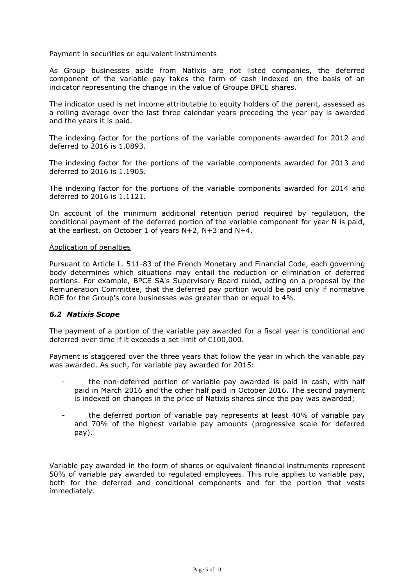### Payment in securities or equivalent instruments

As Group businesses aside from Natixis are not listed companies, the deferred component of the variable pay takes the form of cash indexed on the basis of an indicator representing the change in the value of Groupe BPCE shares.

The indicator used is net income attributable to equity holders of the parent, assessed as a rolling average over the last three calendar years preceding the year pay is awarded and the years it is paid.

The indexing factor for the portions of the variable components awarded for 2012 and deferred to 2016 is 1.0893.

The indexing factor for the portions of the variable components awarded for 2013 and deferred to 2016 is 1.1905.

The indexing factor for the portions of the variable components awarded for 2014 and deferred to 2016 is 1.1121.

On account of the minimum additional retention period required by regulation, the conditional payment of the deferred portion of the variable component for year N is paid, at the earliest, on October 1 of years N+2, N+3 and N+4.

#### Application of penalties

Pursuant to Article L. 511-83 of the French Monetary and Financial Code, each governing body determines which situations may entail the reduction or elimination of deferred portions. For example, BPCE SA's Supervisory Board ruled, acting on a proposal by the Remuneration Committee, that the deferred pay portion would be paid only if normative ROE for the Group's core businesses was greater than or equal to 4%.

### *6.2 Natixis Scope*

The payment of a portion of the variable pay awarded for a fiscal year is conditional and deferred over time if it exceeds a set limit of €100,000.

Payment is staggered over the three years that follow the year in which the variable pay was awarded. As such, for variable pay awarded for 2015:

- the non-deferred portion of variable pay awarded is paid in cash, with half paid in March 2016 and the other half paid in October 2016. The second payment is indexed on changes in the price of Natixis shares since the pay was awarded;
- the deferred portion of variable pay represents at least 40% of variable pay and 70% of the highest variable pay amounts (progressive scale for deferred pay).

Variable pay awarded in the form of shares or equivalent financial instruments represent 50% of variable pay awarded to regulated employees. This rule applies to variable pay, both for the deferred and conditional components and for the portion that vests immediately.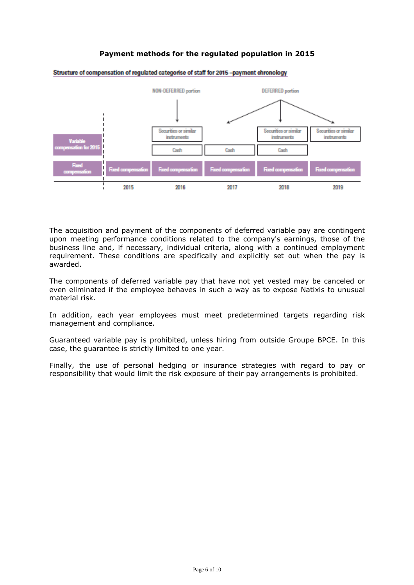# **Payment methods for the regulated population in 2015**



Structure of compensation of regulated categorise of staff for 2015 -payment chronology

The acquisition and payment of the components of deferred variable pay are contingent upon meeting performance conditions related to the company's earnings, those of the business line and, if necessary, individual criteria, along with a continued employment requirement. These conditions are specifically and explicitly set out when the pay is awarded.

The components of deferred variable pay that have not yet vested may be canceled or even eliminated if the employee behaves in such a way as to expose Natixis to unusual material risk.

In addition, each year employees must meet predetermined targets regarding risk management and compliance.

Guaranteed variable pay is prohibited, unless hiring from outside Groupe BPCE. In this case, the guarantee is strictly limited to one year.

Finally, the use of personal hedging or insurance strategies with regard to pay or responsibility that would limit the risk exposure of their pay arrangements is prohibited.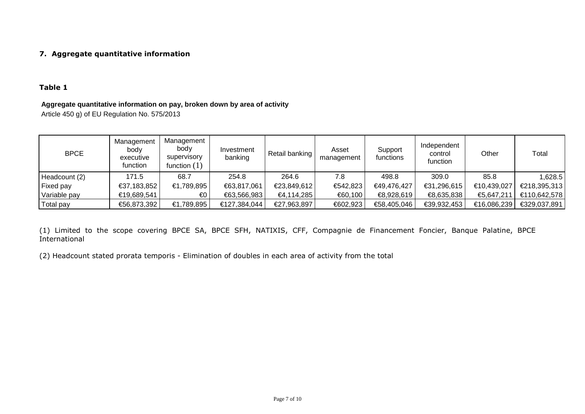# **7. Aggregate quantitative information**

# **Table 1**

### **Aggregate quantitative information on pay, broken down by area of activity**

Article 450 g) of EU Regulation No. 575/2013

| <b>BPCE</b>      | Management<br>body<br>executive<br>function | Management<br>body<br><b>SUDETVISORY</b><br>function $(1)$ | Investment<br>banking | Retail banking | Asset<br>management | Support<br>functions | Independent<br>control<br>function | Other       | Total        |
|------------------|---------------------------------------------|------------------------------------------------------------|-----------------------|----------------|---------------------|----------------------|------------------------------------|-------------|--------------|
| Headcount (2)    | 171.5                                       | 68.7                                                       | 254.8                 | 264.6          | 7.8                 | 498.8                | 309.0                              | 85.8        | .628.5       |
| <b>Fixed pay</b> | €37,183,852                                 | €1,789,895                                                 | €63,817,061           | €23,849,612    | €542,823            | €49,476,427          | €31,296,615                        | €10,439,027 | €218,395,313 |
| Variable pay     | €19,689,541                                 | €0                                                         | €63,566,983           | €4,114,285     | €60,100             | €8,928,619           | €8,635,838                         | €5,647,211  | €110,642,578 |
| Total pay        | €56,873,392                                 | €1,789,895                                                 | €127,384,044          | €27,963,897    | €602,923            | €58,405,046          | €39,932,453                        | €16,086,239 | €329,037,891 |

(1) Limited to the scope covering BPCE SA, BPCE SFH, NATIXIS, CFF, Compagnie de Financement Foncier, Banque Palatine, BPCE International

(2) Headcount stated prorata temporis - Elimination of doubles in each area of activity from the total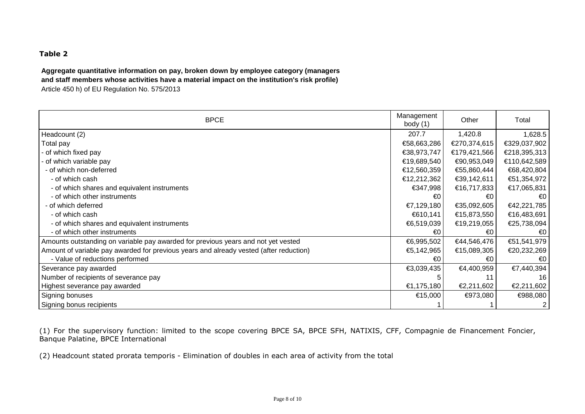# **Table 2**

**Aggregate quantitative information on pay, broken down by employee category (managers and staff members whose activities have a material impact on the institution's risk profile)** Article 450 h) of EU Regulation No. 575/2013

| <b>BPCE</b>                                                                            | Management<br>body $(1)$ | Other        | Total          |
|----------------------------------------------------------------------------------------|--------------------------|--------------|----------------|
| Headcount (2)                                                                          | 207.7                    | 1,420.8      | 1,628.5        |
| Total pay                                                                              | €58,663,286              | €270,374,615 | €329,037,902   |
| of which fixed pay                                                                     | €38,973,747              | €179,421,566 | €218,395,313   |
| of which variable pay                                                                  | €19,689,540              | €90,953,049  | €110,642,589   |
| - of which non-deferred                                                                | €12,560,359              | €55,860,444  | €68,420,804    |
| - of which cash                                                                        | €12,212,362              | €39,142,611  | €51,354,972    |
| - of which shares and equivalent instruments                                           | €347,998                 | €16,717,833  | €17,065,831    |
| - of which other instruments                                                           | €0                       | €0           | €0             |
| - of which deferred                                                                    | €7,129,180               | €35,092,605  | €42,221,785    |
| - of which cash                                                                        | €610,141                 | €15,873,550  | €16,483,691    |
| - of which shares and equivalent instruments                                           | €6,519,039               | €19,219,055  | €25,738,094    |
| - of which other instruments                                                           | €0                       | €0           | $\epsilon$ 0   |
| Amounts outstanding on variable pay awarded for previous years and not yet vested      | €6,995,502               | €44,546,476  | €51,541,979    |
| Amount of variable pay awarded for previous years and already vested (after reduction) | €5,142,965               | €15,089,305  | €20,232,269    |
| - Value of reductions performed                                                        | €0                       | €0           | $\epsilon$ 0   |
| Severance pay awarded                                                                  | €3,039,435               | €4,400,959   | €7,440,394     |
| Number of recipients of severance pay                                                  | 5                        | 11           | 16             |
| Highest severance pay awarded                                                          | €1,175,180               | €2,211,602   | €2,211,602     |
| Signing bonuses                                                                        | €15,000                  | €973,080     | €988,080       |
| Signing bonus recipients                                                               |                          |              | 2 <sub>1</sub> |

(1) For the supervisory function: limited to the scope covering BPCE SA, BPCE SFH, NATIXIS, CFF, Compagnie de Financement Foncier, Banque Palatine, BPCE International

(2) Headcount stated prorata temporis - Elimination of doubles in each area of activity from the total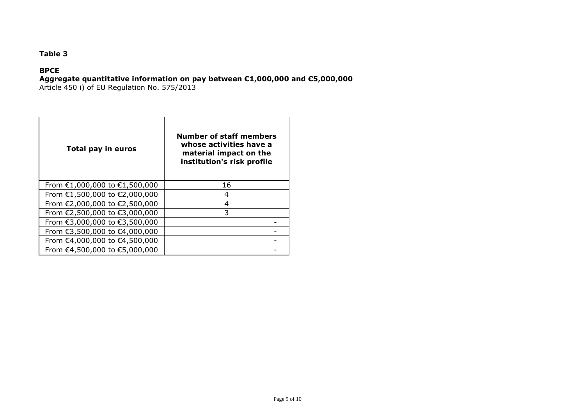# **Table 3**

# **BPCE**

# **Aggregate quantitative information on pay between €1,000,000 and €5,000,000**

Article 450 i) of EU Regulation No. 575/2013

| Total pay in euros            | <b>Number of staff members</b><br>whose activities have a<br>material impact on the<br>institution's risk profile |
|-------------------------------|-------------------------------------------------------------------------------------------------------------------|
| From €1,000,000 to €1,500,000 | 16                                                                                                                |
| From €1,500,000 to €2,000,000 | 4                                                                                                                 |
| From €2,000,000 to €2,500,000 | 4                                                                                                                 |
| From €2,500,000 to €3,000,000 | 3                                                                                                                 |
| From €3,000,000 to €3,500,000 |                                                                                                                   |
| From €3,500,000 to €4,000,000 |                                                                                                                   |
| From €4,000,000 to €4,500,000 |                                                                                                                   |
| From €4,500,000 to €5,000,000 |                                                                                                                   |